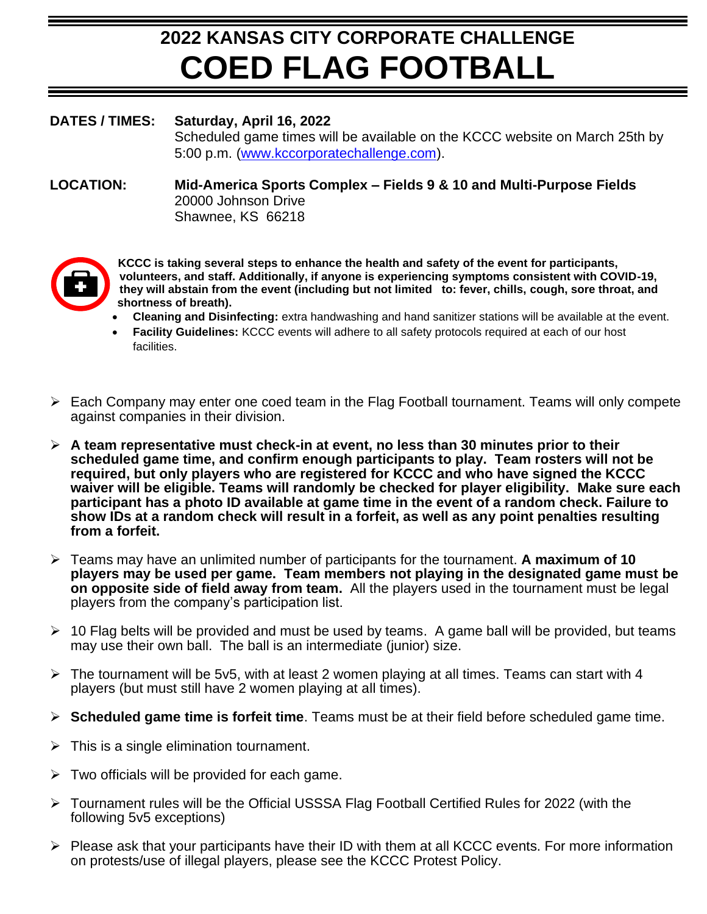# **2022 KANSAS CITY CORPORATE CHALLENGE COED FLAG FOOTBALL**

#### **DATES / TIMES: Saturday, April 16, 2022**

Scheduled game times will be available on the KCCC website on March 25th by 5:00 p.m. [\(www.kccorporatechallenge.com\)](http://www.kccorporatechallenge.com/).

#### **LOCATION: Mid-America Sports Complex – Fields 9 & 10 and Multi-Purpose Fields** 20000 Johnson Drive Shawnee, KS 66218



**KCCC is taking several steps to enhance the health and safety of the event for participants, volunteers, and staff. Additionally, if anyone is experiencing symptoms consistent with COVID-19, they will abstain from the event (including but not limited to: fever, chills, cough, sore throat, and shortness of breath).**

- **Cleaning and Disinfecting:** extra handwashing and hand sanitizer stations will be available at the event.
- **Facility Guidelines:** KCCC events will adhere to all safety protocols required at each of our host facilities.
- $\triangleright$  Each Company may enter one coed team in the Flag Football tournament. Teams will only compete against companies in their division.
- ➢ **A team representative must check-in at event, no less than 30 minutes prior to their scheduled game time, and confirm enough participants to play. Team rosters will not be required, but only players who are registered for KCCC and who have signed the KCCC waiver will be eligible. Teams will randomly be checked for player eligibility. Make sure each participant has a photo ID available at game time in the event of a random check. Failure to show IDs at a random check will result in a forfeit, as well as any point penalties resulting from a forfeit.**
- ➢ Teams may have an unlimited number of participants for the tournament. **A maximum of 10 players may be used per game. Team members not playing in the designated game must be on opposite side of field away from team.** All the players used in the tournament must be legal players from the company's participation list.
- $\geq 10$  Flag belts will be provided and must be used by teams. A game ball will be provided, but teams may use their own ball. The ball is an intermediate (junior) size.
- $\triangleright$  The tournament will be 5v5, with at least 2 women playing at all times. Teams can start with 4 players (but must still have 2 women playing at all times).
- ➢ **Scheduled game time is forfeit time**. Teams must be at their field before scheduled game time.
- $\triangleright$  This is a single elimination tournament.
- $\triangleright$  Two officials will be provided for each game.
- ➢ Tournament rules will be the Official USSSA Flag Football Certified Rules for 2022 (with the following 5v5 exceptions)
- $\triangleright$  Please ask that your participants have their ID with them at all KCCC events. For more information on protests/use of illegal players, please see the KCCC Protest Policy.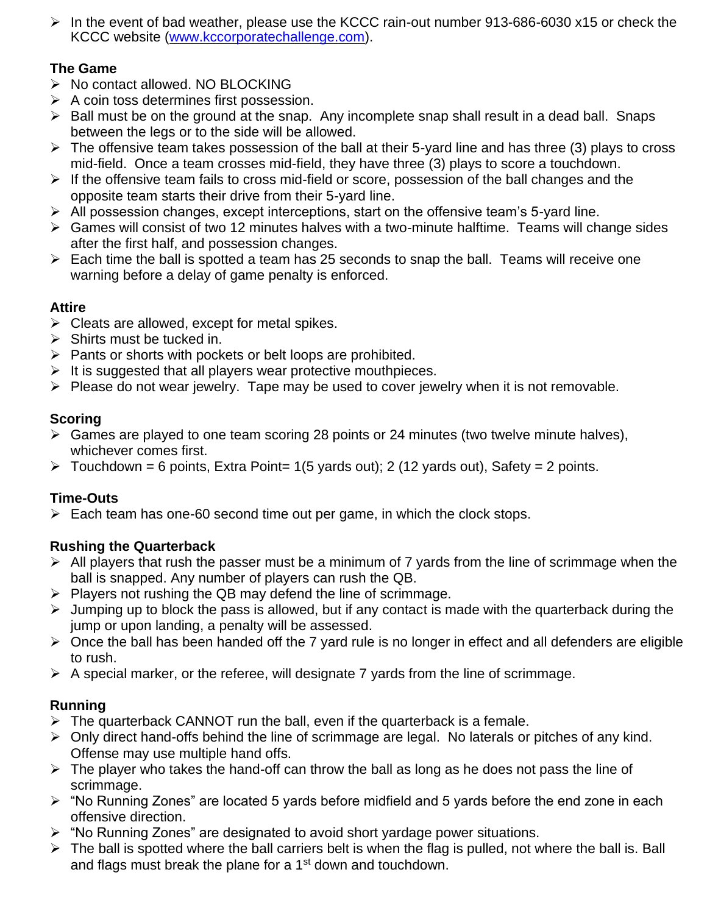➢ In the event of bad weather, please use the KCCC rain-out number 913-686-6030 x15 or check the KCCC website [\(www.kccorporatechallenge.com\)](http://www.kccorporatechallenge.com/).

# **The Game**

- ➢ No contact allowed. NO BLOCKING
- $\triangleright$  A coin toss determines first possession.
- $\triangleright$  Ball must be on the ground at the snap. Any incomplete snap shall result in a dead ball. Snaps between the legs or to the side will be allowed.
- $\triangleright$  The offensive team takes possession of the ball at their 5-yard line and has three (3) plays to cross mid-field. Once a team crosses mid-field, they have three (3) plays to score a touchdown.
- ➢ If the offensive team fails to cross mid-field or score, possession of the ball changes and the opposite team starts their drive from their 5-yard line.
- ➢ All possession changes, except interceptions, start on the offensive team's 5-yard line.
- ➢ Games will consist of two 12 minutes halves with a two-minute halftime. Teams will change sides after the first half, and possession changes.
- $\triangleright$  Each time the ball is spotted a team has 25 seconds to snap the ball. Teams will receive one warning before a delay of game penalty is enforced.

#### **Attire**

- $\triangleright$  Cleats are allowed, except for metal spikes.
- $\triangleright$  Shirts must be tucked in.
- ➢ Pants or shorts with pockets or belt loops are prohibited.
- $\triangleright$  It is suggested that all players wear protective mouthpieces.
- ➢ Please do not wear jewelry. Tape may be used to cover jewelry when it is not removable.

#### **Scoring**

- ➢ Games are played to one team scoring 28 points or 24 minutes (two twelve minute halves), whichever comes first.
- $\triangleright$  Touchdown = 6 points, Extra Point= 1(5 yards out); 2 (12 yards out), Safety = 2 points.

#### **Time-Outs**

 $\triangleright$  Each team has one-60 second time out per game, in which the clock stops.

#### **Rushing the Quarterback**

- $\triangleright$  All players that rush the passer must be a minimum of 7 yards from the line of scrimmage when the ball is snapped. Any number of players can rush the QB.
- $\triangleright$  Players not rushing the QB may defend the line of scrimmage.
- $\triangleright$  Jumping up to block the pass is allowed, but if any contact is made with the quarterback during the jump or upon landing, a penalty will be assessed.
- ➢ Once the ball has been handed off the 7 yard rule is no longer in effect and all defenders are eligible to rush.
- $\triangleright$  A special marker, or the referee, will designate 7 yards from the line of scrimmage.

#### **Running**

- $\triangleright$  The quarterback CANNOT run the ball, even if the quarterback is a female.
- ➢ Only direct hand-offs behind the line of scrimmage are legal. No laterals or pitches of any kind. Offense may use multiple hand offs.
- $\triangleright$  The player who takes the hand-off can throw the ball as long as he does not pass the line of scrimmage.
- ➢ "No Running Zones" are located 5 yards before midfield and 5 yards before the end zone in each offensive direction.
- ➢ "No Running Zones" are designated to avoid short yardage power situations.
- $\triangleright$  The ball is spotted where the ball carriers belt is when the flag is pulled, not where the ball is. Ball and flags must break the plane for a 1<sup>st</sup> down and touchdown.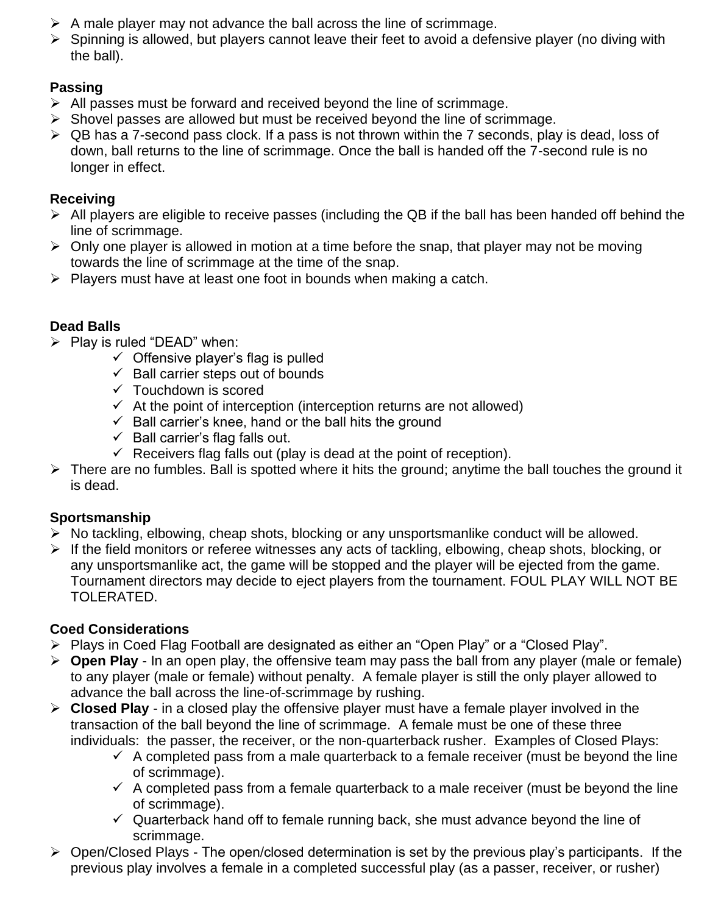- $\triangleright$  A male player may not advance the ball across the line of scrimmage.
- ➢ Spinning is allowed, but players cannot leave their feet to avoid a defensive player (no diving with the ball).

# **Passing**

- $\triangleright$  All passes must be forward and received beyond the line of scrimmage.
- ➢ Shovel passes are allowed but must be received beyond the line of scrimmage.
- ➢ QB has a 7-second pass clock. If a pass is not thrown within the 7 seconds, play is dead, loss of down, ball returns to the line of scrimmage. Once the ball is handed off the 7-second rule is no longer in effect.

# **Receiving**

- $\triangleright$  All players are eligible to receive passes (including the QB if the ball has been handed off behind the line of scrimmage.
- $\triangleright$  Only one player is allowed in motion at a time before the snap, that player may not be moving towards the line of scrimmage at the time of the snap.
- $\triangleright$  Players must have at least one foot in bounds when making a catch.

# **Dead Balls**

- $\triangleright$  Play is ruled "DEAD" when:
	- $\checkmark$  Offensive player's flag is pulled
	- $\checkmark$  Ball carrier steps out of bounds
	- $\checkmark$  Touchdown is scored
	- $\checkmark$  At the point of interception (interception returns are not allowed)
	- $\checkmark$  Ball carrier's knee, hand or the ball hits the ground
	- $\checkmark$  Ball carrier's flag falls out.
	- $\checkmark$  Receivers flag falls out (play is dead at the point of reception).
- ➢ There are no fumbles. Ball is spotted where it hits the ground; anytime the ball touches the ground it is dead.

#### **Sportsmanship**

- ➢ No tackling, elbowing, cheap shots, blocking or any unsportsmanlike conduct will be allowed.
- ➢ If the field monitors or referee witnesses any acts of tackling, elbowing, cheap shots, blocking, or any unsportsmanlike act, the game will be stopped and the player will be ejected from the game. Tournament directors may decide to eject players from the tournament. FOUL PLAY WILL NOT BE TOLERATED.

#### **Coed Considerations**

- ➢ Plays in Coed Flag Football are designated as either an "Open Play" or a "Closed Play".
- ➢ **Open Play** In an open play, the offensive team may pass the ball from any player (male or female) to any player (male or female) without penalty. A female player is still the only player allowed to advance the ball across the line-of-scrimmage by rushing.
- ➢ **Closed Play** in a closed play the offensive player must have a female player involved in the transaction of the ball beyond the line of scrimmage. A female must be one of these three individuals: the passer, the receiver, or the non-quarterback rusher. Examples of Closed Plays:
	- $\checkmark$  A completed pass from a male quarterback to a female receiver (must be beyond the line of scrimmage).
	- $\checkmark$  A completed pass from a female quarterback to a male receiver (must be beyond the line of scrimmage).
	- $\checkmark$  Quarterback hand off to female running back, she must advance beyond the line of scrimmage.
- ➢ Open/Closed Plays The open/closed determination is set by the previous play's participants. If the previous play involves a female in a completed successful play (as a passer, receiver, or rusher)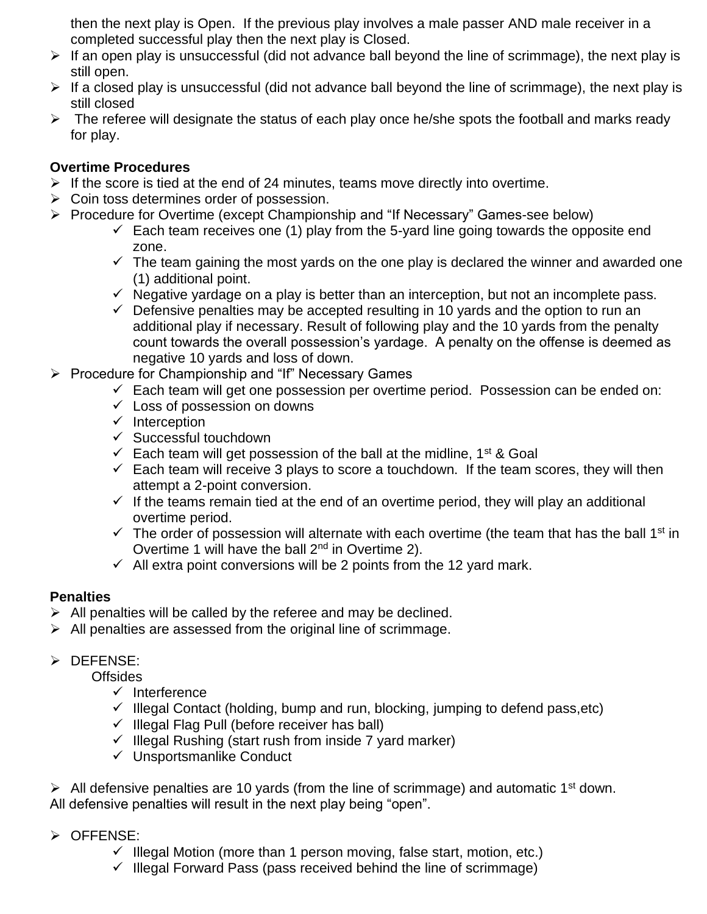then the next play is Open. If the previous play involves a male passer AND male receiver in a completed successful play then the next play is Closed.

- $\triangleright$  If an open play is unsuccessful (did not advance ball beyond the line of scrimmage), the next play is still open.
- $\triangleright$  If a closed play is unsuccessful (did not advance ball beyond the line of scrimmage), the next play is still closed
- $\triangleright$  The referee will designate the status of each play once he/she spots the football and marks ready for play.

#### **Overtime Procedures**

- $\triangleright$  If the score is tied at the end of 24 minutes, teams move directly into overtime.
- $\triangleright$  Coin toss determines order of possession.
- ➢ Procedure for Overtime (except Championship and "If Necessary" Games-see below)
	- $\checkmark$  Each team receives one (1) play from the 5-yard line going towards the opposite end zone.
	- $\checkmark$  The team gaining the most yards on the one play is declared the winner and awarded one (1) additional point.
	- $\checkmark$  Negative vardage on a play is better than an interception, but not an incomplete pass.
	- $\checkmark$  Defensive penalties may be accepted resulting in 10 yards and the option to run an additional play if necessary. Result of following play and the 10 yards from the penalty count towards the overall possession's yardage. A penalty on the offense is deemed as negative 10 yards and loss of down.
- ➢ Procedure for Championship and "If" Necessary Games
	- $\checkmark$  Each team will get one possession per overtime period. Possession can be ended on:
	- $\checkmark$  Loss of possession on downs
	- ✓ Interception
	- ✓ Successful touchdown
	- $\checkmark$  Each team will get possession of the ball at the midline, 1<sup>st</sup> & Goal
	- $\checkmark$  Each team will receive 3 plays to score a touchdown. If the team scores, they will then attempt a 2-point conversion.
	- $\checkmark$  If the teams remain tied at the end of an overtime period, they will play an additional overtime period.
	- $\checkmark$  The order of possession will alternate with each overtime (the team that has the ball 1<sup>st</sup> in Overtime 1 will have the ball 2<sup>nd</sup> in Overtime 2).
	- $\checkmark$  All extra point conversions will be 2 points from the 12 yard mark.

#### **Penalties**

- $\triangleright$  All penalties will be called by the referee and may be declined.
- $\triangleright$  All penalties are assessed from the original line of scrimmage.

#### ➢ DEFENSE:

Offsides

- ✓ Interference
- $\checkmark$  Illegal Contact (holding, bump and run, blocking, jumping to defend pass, etc)
- $\checkmark$  Illegal Flag Pull (before receiver has ball)
- $\checkmark$  Illegal Rushing (start rush from inside 7 yard marker)
- ✓ Unsportsmanlike Conduct

 $\triangleright$  All defensive penalties are 10 yards (from the line of scrimmage) and automatic 1<sup>st</sup> down. All defensive penalties will result in the next play being "open".

- ➢ OFFENSE:
	- $\checkmark$  Illegal Motion (more than 1 person moving, false start, motion, etc.)
	- $\checkmark$  Illegal Forward Pass (pass received behind the line of scrimmage)